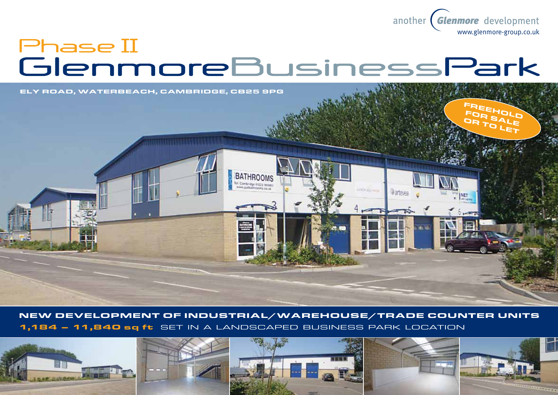

# Phase II<br>GlenmoreBusinessPark



New development of industrial/warehouse/Trade counter units 1,184 – 11,840 sq ft set in a landscaped business park location